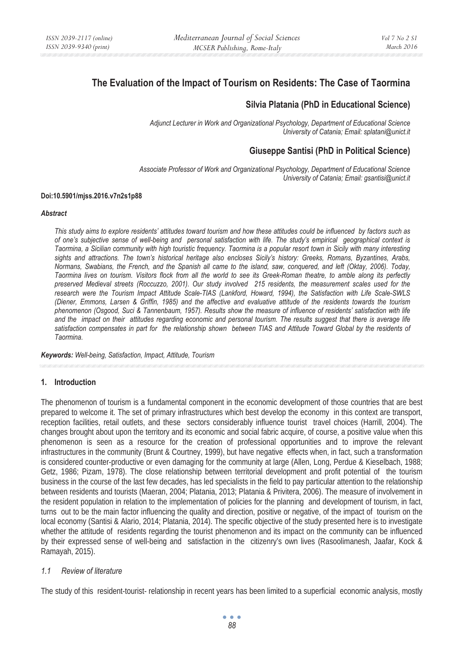# **The Evaluation of the Impact of Tourism on Residents: The Case of Taormina**

## **Silvia Platania (PhD in Educational Science)**

*Adjunct Lecturer in Work and Organizational Psychology, Department of Educational Science University of Catania; Email: splatani@unict.it* 

## **Giuseppe Santisi (PhD in Political Science)**

*Associate Professor of Work and Organizational Psychology, Department of Educational Science University of Catania; Email: gsantisi@unict.it* 

#### **Doi:10.5901/mjss.2016.v7n2s1p88**

#### *Abstract*

*This study aims to explore residents' attitudes toward tourism and how these attitudes could be influenced by factors such as of one's subjective sense of well-being and personal satisfaction with life. The study's empirical geographical context is Taormina, a Sicilian community with high touristic frequency. Taormina is a popular resort town in Sicily with many interesting sights and attractions. The town's historical heritage also encloses Sicily's history: Greeks, Romans, Byzantines, Arabs, Normans, Swabians, the French, and the Spanish all came to the island, saw, conquered, and left (Oktay, 2006). Today, Taormina lives on tourism. Visitors flock from all the world to see its Greek-Roman theatre, to amble along its perfectly preserved Medieval streets (Roccuzzo, 2001). Our study involved 215 residents, the measurement scales used for the research were the Tourism Impact Attitude Scale-TIAS (Lankford, Howard, 1994), the Satisfaction with Life Scale-SWLS (Diener, Emmons, Larsen & Griffin, 1985) and the affective and evaluative attitude of the residents towards the tourism phenomenon (Osgood, Suci & Tannenbaum, 1957). Results show the measure of influence of residents' satisfaction with life*  and the impact on their attitudes regarding economic and personal tourism. The results suggest that there is average life *satisfaction compensates in part for the relationship shown between TIAS and Attitude Toward Global by the residents of Taormina.* 

*Keywords: Well-being, Satisfaction, Impact, Attitude, Tourism* 

## **1. Introduction**

The phenomenon of tourism is a fundamental component in the economic development of those countries that are best prepared to welcome it. The set of primary infrastructures which best develop the economy in this context are transport, reception facilities, retail outlets, and these sectors considerably influence tourist travel choices (Harrill, 2004). The changes brought about upon the territory and its economic and social fabric acquire, of course, a positive value when this phenomenon is seen as a resource for the creation of professional opportunities and to improve the relevant infrastructures in the community (Brunt & Courtney, 1999), but have negative effects when, in fact, such a transformation is considered counter-productive or even damaging for the community at large (Allen, Long, Perdue & Kieselbach, 1988; Getz, 1986; Pizam, 1978). The close relationship between territorial development and profit potential of the tourism business in the course of the last few decades, has led specialists in the field to pay particular attention to the relationship between residents and tourists (Maeran, 2004; Platania, 2013; Platania & Privitera, 2006). The measure of involvement in the resident population in relation to the implementation of policies for the planning and development of tourism, in fact, turns out to be the main factor influencing the quality and direction, positive or negative, of the impact of tourism on the local economy (Santisi & Alario, 2014; Platania, 2014). The specific objective of the study presented here is to investigate whether the attitude of residents regarding the tourist phenomenon and its impact on the community can be influenced by their expressed sense of well-being and satisfaction in the citizenry's own lives (Rasoolimanesh, Jaafar, Kock & Ramayah, 2015).

## *1.1 Review of literature*

The study of this resident-tourist- relationship in recent years has been limited to a superficial economic analysis, mostly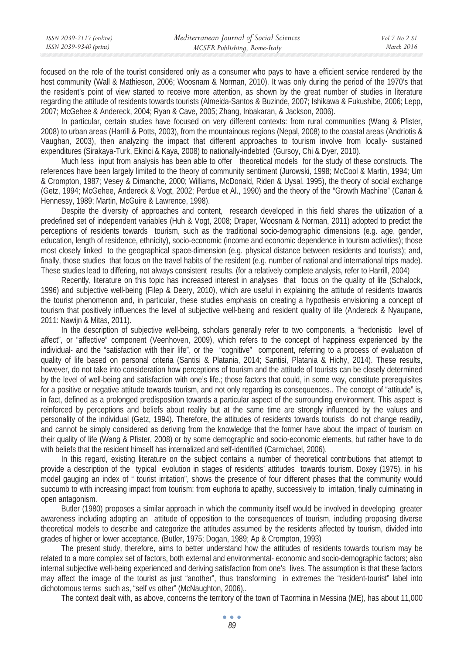focused on the role of the tourist considered only as a consumer who pays to have a efficient service rendered by the host community (Wall & Mathieson, 2006; Woosnam & Norman, 2010). It was only during the period of the 1970's that the resident's point of view started to receive more attention, as shown by the great number of studies in literature regarding the attitude of residents towards tourists (Almeida-Santos & Buzinde, 2007; Ishikawa & Fukushibe, 2006; Lepp, 2007; McGehee & Andereck, 2004; Ryan & Cave, 2005; Zhang, Inbakaran, & Jackson, 2006).

In particular, certain studies have focused on very different contexts: from rural communities (Wang & Pfister, 2008) to urban areas (Harrill & Potts, 2003), from the mountainous regions (Nepal, 2008) to the coastal areas (Andriotis & Vaughan, 2003), then analyzing the impact that different approaches to tourism involve from locally- sustained expenditures (Sirakaya-Turk, Ekinci & Kaya, 2008) to nationally-indebted (Gursoy, Chi & Dyer, 2010).

Much less input from analysis has been able to offer theoretical models for the study of these constructs. The references have been largely limited to the theory of community sentiment (Jurowski, 1998; McCool & Martin, 1994; Um & Crompton, 1987; Vesey & Dimanche, 2000; Williams, McDonald, Riden & Uysal. 1995), the theory of social exchange (Getz, 1994; McGehee, Andereck & Vogt, 2002; Perdue et Al., 1990) and the theory of the "Growth Machine" (Canan & Hennessy, 1989; Martin, McGuire & Lawrence, 1998).

Despite the diversity of approaches and content, research developed in this field shares the utilization of a predefined set of independent variables (Huh & Vogt, 2008; Draper, Woosnam & Norman, 2011) adopted to predict the perceptions of residents towards tourism, such as the traditional socio-demographic dimensions (e.g. age, gender, education, length of residence, ethnicity), socio-economic (income and economic dependence in tourism activities); those most closely linked to the geographical space-dimension (e.g. physical distance between residents and tourists); and, finally, those studies that focus on the travel habits of the resident (e.g. number of national and international trips made). These studies lead to differing, not always consistent results. (for a relatively complete analysis, refer to Harrill, 2004)

Recently, literature on this topic has increased interest in analyses that focus on the quality of life (Schalock, 1996) and subjective well-being (Filep & Deery, 2010), which are useful in explaining the attitude of residents towards the tourist phenomenon and, in particular, these studies emphasis on creating a hypothesis envisioning a concept of tourism that positively influences the level of subjective well-being and resident quality of life (Andereck & Nyaupane, 2011: Nawijn & Mitas, 2011).

In the description of subjective well-being, scholars generally refer to two components, a "hedonistic level of affect", or "affective" component (Veenhoven, 2009), which refers to the concept of happiness experienced by the individual- and the "satisfaction with their life", or the "cognitive" component, referring to a process of evaluation of quality of life based on personal criteria (Santisi & Platania, 2014; Santisi, Platania & Hichy, 2014). These results, however, do not take into consideration how perceptions of tourism and the attitude of tourists can be closely determined by the level of well-being and satisfaction with one's life.; those factors that could, in some way, constitute prerequisites for a positive or negative attitude towards tourism, and not only regarding its consequences.. The concept of "attitude" is, in fact, defined as a prolonged predisposition towards a particular aspect of the surrounding environment. This aspect is reinforced by perceptions and beliefs about reality but at the same time are strongly influenced by the values and personality of the individual (Getz, 1994). Therefore, the attitudes of residents towards tourists do not change readily, and cannot be simply considered as deriving from the knowledge that the former have about the impact of tourism on their quality of life (Wang & Pfister, 2008) or by some demographic and socio-economic elements, but rather have to do with beliefs that the resident himself has internalized and self-identified (Carmichael, 2006).

In this regard, existing literature on the subject contains a number of theoretical contributions that attempt to provide a description of the typical evolution in stages of residents' attitudes towards tourism. Doxey (1975), in his model gauging an index of " tourist irritation", shows the presence of four different phases that the community would succumb to with increasing impact from tourism: from euphoria to apathy, successively to irritation, finally culminating in open antagonism.

Butler (1980) proposes a similar approach in which the community itself would be involved in developing greater awareness including adopting an attitude of opposition to the consequences of tourism, including proposing diverse theoretical models to describe and categorize the attitudes assumed by the residents affected by tourism, divided into grades of higher or lower acceptance. (Butler, 1975; Dogan, 1989; Ap & Crompton, 1993)

The present study, therefore, aims to better understand how the attitudes of residents towards tourism may be related to a more complex set of factors, both external and environmental- economic and socio-demographic factors; also internal subjective well-being experienced and deriving satisfaction from one's lives. The assumption is that these factors may affect the image of the tourist as just "another", thus transforming in extremes the "resident-tourist" label into dichotomous terms such as, "self vs other" (McNaughton, 2006),.

The context dealt with, as above, concerns the territory of the town of Taormina in Messina (ME), has about 11,000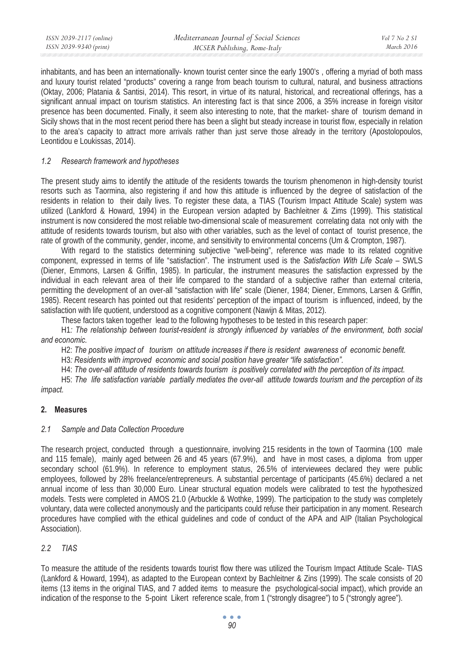| ISSN 2039-2117 (online) | Mediterranean Journal of Social Sciences | Vol 7 No 2 S1 |
|-------------------------|------------------------------------------|---------------|
| ISSN 2039-9340 (print)  | MCSER Publishing, Rome-Italy             | March 2016    |

inhabitants, and has been an internationally- known tourist center since the early 1900's , offering a myriad of both mass and luxury tourist related "products" covering a range from beach tourism to cultural, natural, and business attractions (Oktay, 2006; Platania & Santisi, 2014). This resort, in virtue of its natural, historical, and recreational offerings, has a significant annual impact on tourism statistics. An interesting fact is that since 2006, a 35% increase in foreign visitor presence has been documented. Finally, it seem also interesting to note, that the market- share of tourism demand in Sicily shows that in the most recent period there has been a slight but steady increase in tourist flow, especially in relation to the area's capacity to attract more arrivals rather than just serve those already in the territory (Apostolopoulos, Leontidou e Loukissas, 2014).

### *1.2 Research framework and hypotheses*

The present study aims to identify the attitude of the residents towards the tourism phenomenon in high-density tourist resorts such as Taormina, also registering if and how this attitude is influenced by the degree of satisfaction of the residents in relation to their daily lives. To register these data, a TIAS (Tourism Impact Attitude Scale) system was utilized (Lankford & Howard, 1994) in the European version adapted by Bachleitner & Zims (1999). This statistical instrument is now considered the most reliable two-dimensional scale of measurement correlating data not only with the attitude of residents towards tourism, but also with other variables, such as the level of contact of tourist presence, the rate of growth of the community, gender, income, and sensitivity to environmental concerns (Um & Crompton, 1987).

With regard to the statistics determining subjective "well-being", reference was made to its related cognitive component, expressed in terms of life "satisfaction". The instrument used is the *Satisfaction With Life Scale* – SWLS (Diener, Emmons, Larsen & Griffin, 1985). In particular, the instrument measures the satisfaction expressed by the individual in each relevant area of their life compared to the standard of a subjective rather than external criteria, permitting the development of an over-all "satisfaction with life" scale (Diener, 1984; Diener, Emmons, Larsen & Griffin, 1985). Recent research has pointed out that residents' perception of the impact of tourism is influenced, indeed, by the satisfaction with life quotient, understood as a cognitive component (Nawijn & Mitas, 2012).

These factors taken together lead to the following hypotheses to be tested in this research paper:

H1*: The relationship between tourist-resident is strongly influenced by variables of the environment, both social and economic.* 

H2: *The positive impact of tourism on attitude increases if there is resident awareness of economic benefit.* 

H3*: Residents with improved economic and social position have greater "life satisfaction".* 

H4: *The over-all attitude of residents towards tourism is positively correlated with the perception of its impact.*

H5: *The life satisfaction variable partially mediates the over-all attitude towards tourism and the perception of its impact.* 

#### **2. Measures**

## *2.1 Sample and Data Collection Procedure*

The research project, conducted through a questionnaire, involving 215 residents in the town of Taormina (100 male and 115 female), mainly aged between 26 and 45 years (67.9%), and have in most cases, a diploma from upper secondary school (61.9%). In reference to employment status, 26.5% of interviewees declared they were public employees, followed by 28% freelance/entrepreneurs. A substantial percentage of participants (45.6%) declared a net annual income of less than 30,000 Euro. Linear structural equation models were calibrated to test the hypothesized models. Tests were completed in AMOS 21.0 (Arbuckle & Wothke, 1999). The participation to the study was completely voluntary, data were collected anonymously and the participants could refuse their participation in any moment. Research procedures have complied with the ethical guidelines and code of conduct of the APA and AIP (Italian Psychological Association).

## *2.2 TIAS*

To measure the attitude of the residents towards tourist flow there was utilized the Tourism Impact Attitude Scale- TIAS (Lankford & Howard, 1994), as adapted to the European context by Bachleitner & Zins (1999). The scale consists of 20 items (13 items in the original TIAS, and 7 added items to measure the psychological-social impact), which provide an indication of the response to the 5-point Likert reference scale, from 1 ("strongly disagree") to 5 ("strongly agree").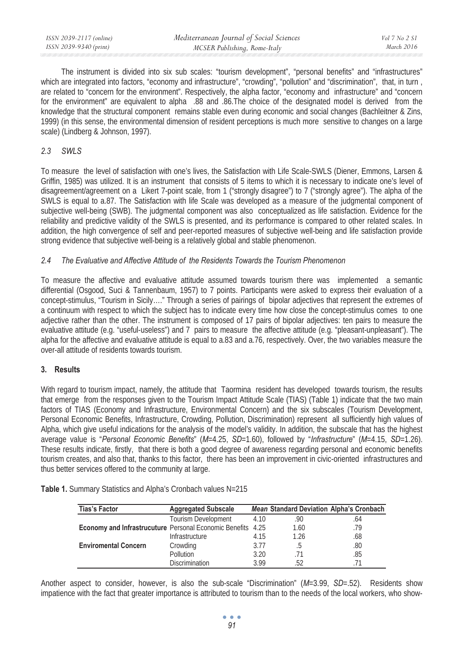| ISSN 2039-2117 (online) | Mediterranean Journal of Social Sciences | Vol 7 No 2 SI |
|-------------------------|------------------------------------------|---------------|
| ISSN 2039-9340 (print)  | MCSER Publishing, Rome-Italy             | March 2016    |

The instrument is divided into six sub scales: "tourism development", "personal benefits" and "infrastructures" which are integrated into factors, "economy and infrastructure", "crowding", "pollution" and "discrimination", that, in turn , are related to "concern for the environment". Respectively, the alpha factor, "economy and infrastructure" and "concern for the environment" are equivalent to alpha .88 and .86.The choice of the designated model is derived from the knowledge that the structural component remains stable even during economic and social changes (Bachleitner & Zins, 1999) (in this sense, the environmental dimension of resident perceptions is much more sensitive to changes on a large scale) (Lindberg & Johnson, 1997).

## *2.3 SWLS*

To measure the level of satisfaction with one's lives, the Satisfaction with Life Scale-SWLS (Diener, Emmons, Larsen & Griffin, 1985) was utilized. It is an instrument that consists of 5 items to which it is necessary to indicate one's level of disagreement/agreement on a Likert 7-point scale, from 1 ("strongly disagree") to 7 ("strongly agree"). The alpha of the SWLS is equal to a.87. The Satisfaction with life Scale was developed as a measure of the judgmental component of subjective well-being (SWB). The judgmental component was also conceptualized as life satisfaction. Evidence for the reliability and predictive validity of the SWLS is presented, and its performance is compared to other related scales. In addition, the high convergence of self and peer-reported measures of subjective well-being and life satisfaction provide strong evidence that subjective well-being is a relatively global and stable phenomenon.

## *2.4 The Evaluative and Affective Attitude of the Residents Towards the Tourism Phenomenon*

To measure the affective and evaluative attitude assumed towards tourism there was implemented a semantic differential (Osgood, Suci & Tannenbaum, 1957) to 7 points. Participants were asked to express their evaluation of a concept-stimulus, "Tourism in Sicily…." Through a series of pairings of bipolar adjectives that represent the extremes of a continuum with respect to which the subject has to indicate every time how close the concept-stimulus comes to one adjective rather than the other. The instrument is composed of 17 pairs of bipolar adjectives: ten pairs to measure the evaluative attitude (e.g. "useful-useless") and 7 pairs to measure the affective attitude (e.g. "pleasant-unpleasant"). The alpha for the affective and evaluative attitude is equal to a.83 and a.76, respectively. Over, the two variables measure the over-all attitude of residents towards tourism.

## **3. Results**

With regard to tourism impact, namely, the attitude that Taormina resident has developed towards tourism, the results that emerge from the responses given to the Tourism Impact Attitude Scale (TIAS) (Table 1) indicate that the two main factors of TIAS (Economy and Infrastructure, Environmental Concern) and the six subscales (Tourism Development, Personal Economic Benefits, Infrastructure, Crowding, Pollution, Discrimination) represent all sufficiently high values of Alpha, which give useful indications for the analysis of the model's validity. In addition, the subscale that has the highest average value is "*Personal Economic Benefits*" (*M*=4.25, *SD*=1.60), followed by "*Infrastructure*" (*M*=4.15, *SD*=1.26). These results indicate, firstly, that there is both a good degree of awareness regarding personal and economic benefits tourism creates, and also that, thanks to this factor, there has been an improvement in civic-oriented infrastructures and thus better services offered to the community at large.

| Table 1. Summary Statistics and Alpha's Cronbach values N=215 |  |  |  |  |
|---------------------------------------------------------------|--|--|--|--|
|---------------------------------------------------------------|--|--|--|--|

| <b>Tias's Factor</b>                                        | <b>Aggregated Subscale</b> |      | <b>Mean Standard Deviation Alpha's Cronbach</b> |     |
|-------------------------------------------------------------|----------------------------|------|-------------------------------------------------|-----|
|                                                             | Tourism Development        | 4.10 | .90                                             | .64 |
| Economy and Infrastrucuture Personal Economic Benefits 4.25 |                            |      | 1.60                                            | .79 |
|                                                             | Infrastructure             | 4.15 | 1.26                                            | .68 |
| <b>Enviromental Concern</b>                                 | Crowding                   | 3.77 | .b                                              | .80 |
|                                                             | Pollution                  | 3.20 |                                                 | .85 |
|                                                             | <b>Discrimination</b>      | 3.99 | 52                                              |     |

Another aspect to consider, however, is also the sub-scale "Discrimination" (*M*=3.99, *SD*=.52). Residents show impatience with the fact that greater importance is attributed to tourism than to the needs of the local workers, who show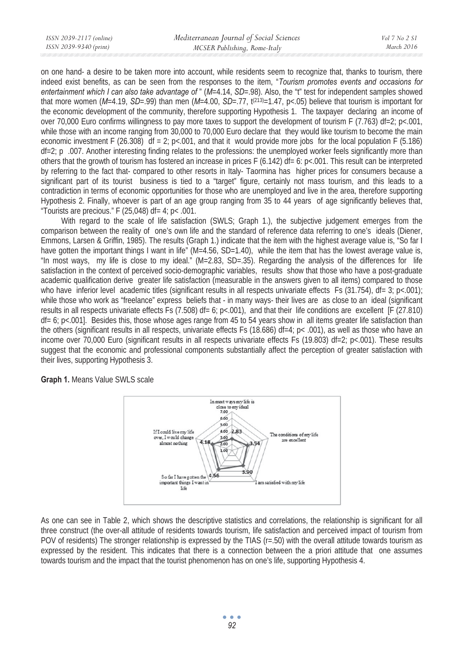on one hand- a desire to be taken more into account, while residents seem to recognize that, thanks to tourism, there indeed exist benefits, as can be seen from the responses to the item, "*Tourism promotes events and occasions for entertainment which I can also take advantage of " (M=4.14, SD=.98). Also, the "t" test for independent samples showed* that more women ( $M=4.19$ ,  $SD=.99$ ) than men ( $M=4.00$ ,  $SD=.77$ ,  $t^{(213)}=1.47$ ,  $p<.05$ ) believe that tourism is important for the economic development of the community, therefore supporting Hypothesis 1. The taxpayer declaring an income of over 70,000 Euro confirms willingness to pay more taxes to support the development of tourism F (7.763) df=2; p<.001, while those with an income ranging from 30,000 to 70,000 Euro declare that they would like tourism to become the main economic investment F (26.308) df = 2; p<.001, and that it would provide more jobs for the local population F (5.186)  $df=2$ ; p .007. Another interesting finding relates to the professions: the unemployed worker feels significantly more than others that the growth of tourism has fostered an increase in prices F (6.142) df= 6:  $p$ <.001. This result can be interpreted by referring to the fact that- compared to other resorts in Italy- Taormina has higher prices for consumers because a significant part of its tourist business is tied to a "target" figure, certainly not mass tourism, and this leads to a contradiction in terms of economic opportunities for those who are unemployed and live in the area, therefore supporting Hypothesis 2. Finally, whoever is part of an age group ranging from 35 to 44 years of age significantly believes that, "Tourists are precious." F (25,048) df=  $4$ ; p< .001.

With regard to the scale of life satisfaction (SWLS; Graph 1.), the subjective judgement emerges from the comparison between the reality of one's own life and the standard of reference data referring to one's ideals (Diener, Emmons, Larsen & Griffin, 1985). The results (Graph 1.) indicate that the item with the highest average value is, "So far I have gotten the important things I want in life" (M=4.56, SD=1.40), while the item that has the lowest average value is, "In most ways, my life is close to my ideal." (M=2.83, SD=.35). Regarding the analysis of the differences for life satisfaction in the context of perceived socio-demographic variables, results show that those who have a post-graduate academic qualification derive greater life satisfaction (measurable in the answers given to all items) compared to those who have inferior level academic titles (significant results in all respects univariate effects Fs (31.754), df= 3; p<.001); while those who work as "freelance" express beliefs that - in many ways- their lives are as close to an ideal (significant results in all respects univariate effects Fs (7.508) df= 6; p<.001), and that their life conditions are excellent [F (27.810)  $df = 6$ ; p<.001]. Besides this, those whose ages range from 45 to 54 years show in all items greater life satisfaction than the others (significant results in all respects, univariate effects Fs (18.686) df=4;  $p<$  .001), as well as those who have an income over 70,000 Euro (significant results in all respects univariate effects Fs (19.803) df=2; p<.001). These results suggest that the economic and professional components substantially affect the perception of greater satisfaction with their lives, supporting Hypothesis 3.

**Graph 1.** Means Value SWLS scale



As one can see in Table 2, which shows the descriptive statistics and correlations, the relationship is significant for all three construct (the over-all attitude of residents towards tourism, life satisfaction and perceived impact of tourism from POV of residents) The stronger relationship is expressed by the TIAS ( $r = .50$ ) with the overall attitude towards tourism as expressed by the resident. This indicates that there is a connection between the a priori attitude that one assumes towards tourism and the impact that the tourist phenomenon has on one's life, supporting Hypothesis 4.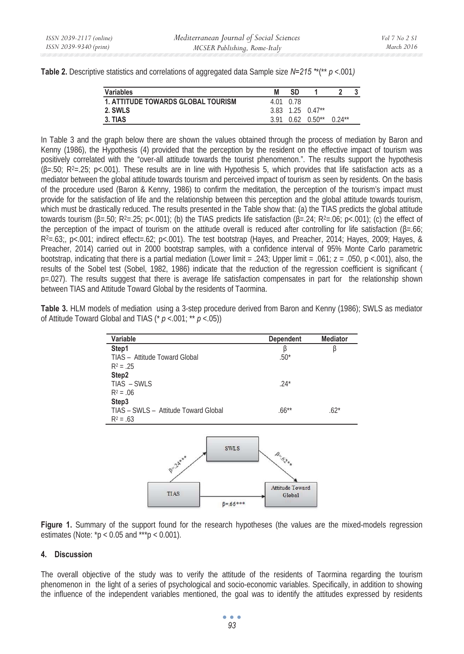| <b>Table 2.</b> Descriptive statistics and correlations of aggregated data Sample size N=215 **(** p <.001) |  |  |
|-------------------------------------------------------------------------------------------------------------|--|--|
|-------------------------------------------------------------------------------------------------------------|--|--|

| <b>Variables</b>                          | SD        |                                   |          |  |
|-------------------------------------------|-----------|-----------------------------------|----------|--|
| <b>1. ATTITUDE TOWARDS GLOBAL TOURISM</b> | 4.01 0.78 |                                   |          |  |
| 2. SWLS                                   |           | $3.83$ 1.25 $0.47**$              |          |  |
| 3. TIAS                                   |           | $3.91 \quad 0.62 \quad 0.50^{**}$ | $0.24**$ |  |

In Table 3 and the graph below there are shown the values obtained through the process of mediation by Baron and Kenny (1986), the Hypothesis (4) provided that the perception by the resident on the effective impact of tourism was positively correlated with the "over-all attitude towards the tourist phenomenon.". The results support the hypothesis  $(B=.50; R^2=.25; p<.001)$ . These results are in line with Hypothesis 5, which provides that life satisfaction acts as a mediator between the global attitude towards tourism and perceived impact of tourism as seen by residents. On the basis of the procedure used (Baron & Kenny, 1986) to confirm the meditation, the perception of the tourism's impact must provide for the satisfaction of life and the relationship between this perception and the global attitude towards tourism, which must be drastically reduced. The results presented in the Table show that: (a) the TIAS predicts the global attitude towards tourism  $(\beta = .50; R^2 = .25; p < .001)$ ; (b) the TIAS predicts life satisfaction  $(\beta = .24; R^2 = .06; p < .001)$ ; (c) the effect of the perception of the impact of tourism on the attitude overall is reduced after controlling for life satisfaction ( $\beta = .66$ ;  $R^2 = 63$ ;, p<.001; indirect effect=.62; p<.001). The test bootstrap (Hayes, and Preacher, 2014; Hayes, 2009; Hayes, & Preacher, 2014) carried out in 2000 bootstrap samples, with a confidence interval of 95% Monte Carlo parametric bootstrap, indicating that there is a partial mediation (Lower limit = .243; Upper limit = .061;  $z = .050$ ,  $p < .001$ ), also, the results of the Sobel test (Sobel, 1982, 1986) indicate that the reduction of the regression coefficient is significant ( p=.027). The results suggest that there is average life satisfaction compensates in part for the relationship shown between TIAS and Attitude Toward Global by the residents of Taormina.

**Table 3.** HLM models of mediation using a 3-step procedure derived from Baron and Kenny (1986); SWLS as mediator of Attitude Toward Global and TIAS (\* *p* <.001; \*\* *p* <.05))

| Variable                             | Dependent                                                                                                                                                                                                                                                                                                                                                                   | <b>Mediator</b> |
|--------------------------------------|-----------------------------------------------------------------------------------------------------------------------------------------------------------------------------------------------------------------------------------------------------------------------------------------------------------------------------------------------------------------------------|-----------------|
| Step1                                | β                                                                                                                                                                                                                                                                                                                                                                           | β               |
| TIAS - Attitude Toward Global        | $.50*$                                                                                                                                                                                                                                                                                                                                                                      |                 |
| $R^2 = .25$                          |                                                                                                                                                                                                                                                                                                                                                                             |                 |
| Step2                                |                                                                                                                                                                                                                                                                                                                                                                             |                 |
| TIAS - SWLS                          | $.24*$                                                                                                                                                                                                                                                                                                                                                                      |                 |
| $R^2 = .06$                          |                                                                                                                                                                                                                                                                                                                                                                             |                 |
| Step3                                |                                                                                                                                                                                                                                                                                                                                                                             |                 |
| TIAS - SWLS - Attitude Toward Global | $.66***$                                                                                                                                                                                                                                                                                                                                                                    | $.62*$          |
| $R^2 = .63$                          |                                                                                                                                                                                                                                                                                                                                                                             |                 |
|                                      |                                                                                                                                                                                                                                                                                                                                                                             |                 |
| <b>SWLS</b><br>BEZA ***              | $\begin{picture}(180,10) \put(0,0){\vector(1,0){10}} \put(15,0){\vector(1,0){10}} \put(15,0){\vector(1,0){10}} \put(15,0){\vector(1,0){10}} \put(15,0){\vector(1,0){10}} \put(15,0){\vector(1,0){10}} \put(15,0){\vector(1,0){10}} \put(15,0){\vector(1,0){10}} \put(15,0){\vector(1,0){10}} \put(15,0){\vector(1,0){10}} \put(15,0){\vector(1,0){10}} \put(15,0){\vector($ |                 |



**Figure 1.** Summary of the support found for the research hypotheses (the values are the mixed-models regression estimates (Note:  $p < 0.05$  and  $\frac{***}{p} < 0.001$ ).

## **4. Discussion**

The overall objective of the study was to verify the attitude of the residents of Taormina regarding the tourism phenomenon in the light of a series of psychological and socio-economic variables. Specifically, in addition to showing the influence of the independent variables mentioned, the goal was to identify the attitudes expressed by residents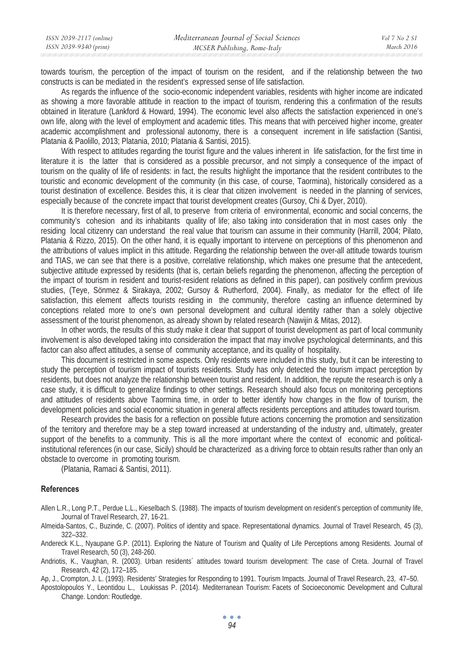| ISSN 2039-2117 (online) | Mediterranean Journal of Social Sciences | Vol 7 No 2 S1 |
|-------------------------|------------------------------------------|---------------|
| ISSN 2039-9340 (print)  | MCSER Publishing, Rome-Italy             | March 2016    |

towards tourism, the perception of the impact of tourism on the resident, and if the relationship between the two constructs is can be mediated in the resident's expressed sense of life satisfaction.

As regards the influence of the socio-economic independent variables, residents with higher income are indicated as showing a more favorable attitude in reaction to the impact of tourism, rendering this a confirmation of the results obtained in literature (Lankford & Howard, 1994). The economic level also affects the satisfaction experienced in one's own life, along with the level of employment and academic titles. This means that with perceived higher income, greater academic accomplishment and professional autonomy, there is a consequent increment in life satisfaction (Santisi, Platania & Paolillo, 2013; Platania, 2010; Platania & Santisi, 2015).

With respect to attitudes regarding the tourist figure and the values inherent in life satisfaction, for the first time in literature it is the latter that is considered as a possible precursor, and not simply a consequence of the impact of tourism on the quality of life of residents: in fact, the results highlight the importance that the resident contributes to the touristic and economic development of the community (in this case, of course, Taormina), historically considered as a tourist destination of excellence. Besides this, it is clear that citizen involvement is needed in the planning of services, especially because of the concrete impact that tourist development creates (Gursoy, Chi & Dyer, 2010).

It is therefore necessary, first of all, to preserve from criteria of environmental, economic and social concerns, the community's cohesion and its inhabitants quality of life; also taking into consideration that in most cases only the residing local citizenry can understand the real value that tourism can assume in their community (Harrill, 2004; Pilato, Platania & Rizzo, 2015). On the other hand, it is equally important to intervene on perceptions of this phenomenon and the attributions of values implicit in this attitude. Regarding the relationship between the over-all attitude towards tourism and TIAS, we can see that there is a positive, correlative relationship, which makes one presume that the antecedent, subjective attitude expressed by residents (that is, certain beliefs regarding the phenomenon, affecting the perception of the impact of tourism in resident and tourist-resident relations as defined in this paper), can positively confirm previous studies, (Teye, Sönmez & Sirakaya, 2002; Gursoy & Rutherford, 2004). Finally, as mediator for the effect of life satisfaction, this element affects tourists residing in the community, therefore casting an influence determined by conceptions related more to one's own personal development and cultural identity rather than a solely objective assessment of the tourist phenomenon, as already shown by related research (Nawijin & Mitas, 2012).

In other words, the results of this study make it clear that support of tourist development as part of local community involvement is also developed taking into consideration the impact that may involve psychological determinants, and this factor can also affect attitudes, a sense of community acceptance, and its quality of hospitality.

This document is restricted in some aspects. Only residents were included in this study, but it can be interesting to study the perception of tourism impact of tourists residents. Study has only detected the tourism impact perception by residents, but does not analyze the relationship between tourist and resident. In addition, the repute the research is only a case study, it is difficult to generalize findings to other settings. Research should also focus on monitoring perceptions and attitudes of residents above Taormina time, in order to better identify how changes in the flow of tourism, the development policies and social economic situation in general affects residents perceptions and attitudes toward tourism.

Research provides the basis for a reflection on possible future actions concerning the promotion and sensitization of the territory and therefore may be a step toward increased at understanding of the industry and, ultimately, greater support of the benefits to a community. This is all the more important where the context of economic and politicalinstitutional references (in our case, Sicily) should be characterized as a driving force to obtain results rather than only an obstacle to overcome in promoting tourism.

(Platania, Ramaci & Santisi, 2011).

## **References**

Allen L.R., Long P.T., Perdue L.L., Kieselbach S. (1988). The impacts of tourism development on resident's perception of community life, Journal of Travel Research, 27, 16-21.

Almeida-Santos, C., Buzinde, C. (2007). Politics of identity and space. Representational dynamics. Journal of Travel Research, 45 (3), 322–332.

Andereck K.L., Nyaupane G.P. (2011). Exploring the Nature of Tourism and Quality of Life Perceptions among Residents. Journal of Travel Research, 50 (3), 248-260.

Andriotis, K., Vaughan, R. (2003). Urban residents´ attitudes toward tourism development: The case of Creta. Journal of Travel Research, 42 (2), 172–185.

Ap, J., Crompton, J. L. (1993). Residents' Strategies for Responding to 1991. Tourism Impacts. Journal of Travel Research, 23, 47–50.

Apostolopoulos Y., Leontidou L., Loukissas P. (2014). Mediterranean Tourism: Facets of Socioeconomic Development and Cultural Change. London: Routledge.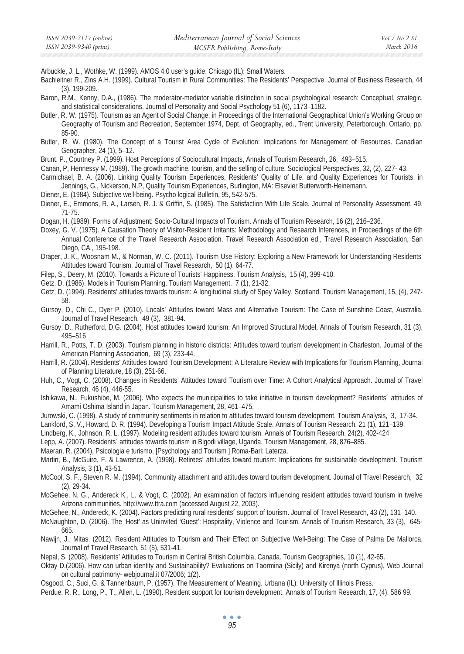Arbuckle, J. L., Wothke, W. (1999). AMOS 4.0 user's guide. Chicago (IL): Small Waters.

- Bachleitner R., Zins A.H. (1999). Cultural Tourism in Rural Communities: The Residents' Perspective, Journal of Business Research, 44 (3), 199-209.
- Baron, R.M., Kenny, D.A., (1986). The moderator-mediator variable distinction in social psychological research: Conceptual, strategic, and statistical considerations. Journal of Personality and Social Psychology 51 (6), 1173–1182.
- Butler, R. W. (1975). Tourism as an Agent of Social Change, in Proceedings of the International Geographical Union's Working Group on Geography of Tourism and Recreation, September 1974, Dept. of Geography, ed., Trent University, Peterborough, Ontario, pp. 85-90.
- Butler, R. W. (1980). The Concept of a Tourist Area Cycle of Evolution: Implications for Management of Resources. Canadian Geographer, 24 (1), 5–12.
- Brunt. P., Courtney P. (1999). Host Perceptions of Sociocultural Impacts, Annals of Tourism Research, 26, 493–515.
- Canan, P, Hennessy M. (1989). The growth machine, tourism, and the selling of culture. Sociological Perspectives, 32, (2), 227- 43.
- Carmichael, B. A. (2006). Linking Quality Tourism Experiences, Residents' Quality of Life, and Quality Experiences for Tourists, in Jennings, G., Nickerson, N.P, Quality Tourism Experiences, Burlington, MA: Elsevier Butterworth-Heinemann.
- Diener, E. (1984). Subjective well-being. Psycho logical Bulletin, 95, 542-575.
- Diener, E., Emmons, R. A., Larsen, R. J. & Griffin, S. (1985). The Satisfaction With Life Scale. Journal of Personality Assessment, 49, 71-75.
- Dogan, H. (1989). Forms of Adjustment: Socio-Cultural Impacts of Tourism. Annals of Tourism Research, 16 (2), 216–236.
- Doxey, G. V. (1975). A Causation Theory of Visitor-Resident Irritants: Methodology and Research Inferences, in Proceedings of the 6th Annual Conference of the Travel Research Association, Travel Research Association ed., Travel Research Association, San Diego, CA., 195-198.
- Draper, J. K., Woosnam M., & Norman, W. C. (2011). Tourism Use History: Exploring a New Framework for Understanding Residents' Attitudes toward Tourism. Journal of Travel Research, 50 (1), 64-77.
- Filep, S., Deery, M. (2010). Towards a Picture of Tourists' Happiness. Tourism Analysis, 15 (4), 399-410.
- Getz, D. (1986). Models in Tourism Planning. Tourism Management, 7 (1), 21-32.
- Getz, D. (1994). Residents' attitudes towards tourism: A longitudinal study of Spey Valley, Scotland. Tourism Management, 15, (4), 247- 58.
- Gursoy, D., Chi C., Dyer P. (2010). Locals' Attitudes toward Mass and Alternative Tourism: The Case of Sunshine Coast, Australia. Journal of Travel Research, 49 (3), 381-94.
- Gursoy, D., Rutherford, D.G. (2004). Host attitudes toward tourism: An Improved Structural Model, Annals of Tourism Research, 31 (3), 495–516
- Harrill, R., Potts, T. D. (2003). Tourism planning in historic districts: Attitudes toward tourism development in Charleston. Journal of the American Planning Association, 69 (3), 233-44.
- Harrill, R. (2004). Residents' Attitudes toward Tourism Development: A Literature Review with Implications for Tourism Planning, Journal of Planning Literature, 18 (3), 251-66.
- Huh, C., Vogt, C. (2008). Changes in Residents' Attitudes toward Tourism over Time: A Cohort Analytical Approach. Journal of Travel Research, 46 (4), 446-55.
- Ishikawa, N., Fukushibe, M. (2006). Who expects the municipalities to take initiative in tourism development? Residents´ attitudes of Amami Oshima Island in Japan. Tourism Management, 28, 461–475.
- Jurowski, C. (1998). A study of community sentiments in relation to attitudes toward tourism development. Tourism Analysis, 3, 17-34.
- Lankford, S. V., Howard, D. R. (1994). Developing a Tourism Impact Attitude Scale. Annals of Tourism Research, 21 (1), 121–139.
- Lindberg, K., Johnson, R. L. (1997). Modeling resident attitudes toward tourism. Annals of Tourism Research, 24(2), 402-424
- Lepp, A. (2007). Residents´ attitudes towards tourism in Bigodi village, Uganda. Tourism Management, 28, 876–885.
- Maeran, R. (2004), Psicologia e turismo, [Psychology and Tourism ] Roma-Bari: Laterza.
- Martin, B., McGuire, F. & Lawrence, A. (1998). Retirees' attitudes toward tourism: Implications for sustainable development. Tourism Analysis, 3 (1), 43-51.
- McCool, S. F., Steven R. M. (1994). Community attachment and attitudes toward tourism development. Journal of Travel Research, 32 (2), 29-34.
- McGehee, N. G., Andereck K., L. & Vogt, C. (2002). An examination of factors influencing resident attitudes toward tourism in twelve Arizona communities. http://www.ttra.com (accessed August 22, 2003).
- McGehee, N., Andereck, K. (2004). Factors predicting rural residents´ support of tourism. Journal of Travel Research, 43 (2), 131–140.
- McNaughton, D. (2006). The 'Host' as Uninvited 'Guest': Hospitality, Violence and Tourism. Annals of Tourism Research, 33 (3), 645- 665.
- Nawijn, J., Mitas. (2012). Resident Attitudes to Tourism and Their Effect on Subjective Well-Being: The Case of Palma De Mallorca, Journal of Travel Research, 51 (5), 531-41.
- Nepal, S. (2008). Residents' Attitudes to Tourism in Central British Columbia, Canada. Tourism Geographies, 10 (1), 42-65.
- Oktay D.(2006). How can urban identity and Sustainability? Evaluations on Taormina (Sicily) and Kirenya (north Cyprus), Web Journal on cultural patrimony- webjournal.it 07/2006; 1(2).
- Osgood, C., Suci, G. & Tannenbaum, P. (1957). The Measurement of Meaning. Urbana (IL): University of Illinois Press.
- Perdue, R. R., Long, P., T., Allen, L. (1990). Resident support for tourism development. Annals of Tourism Research, 17, (4), 586 99.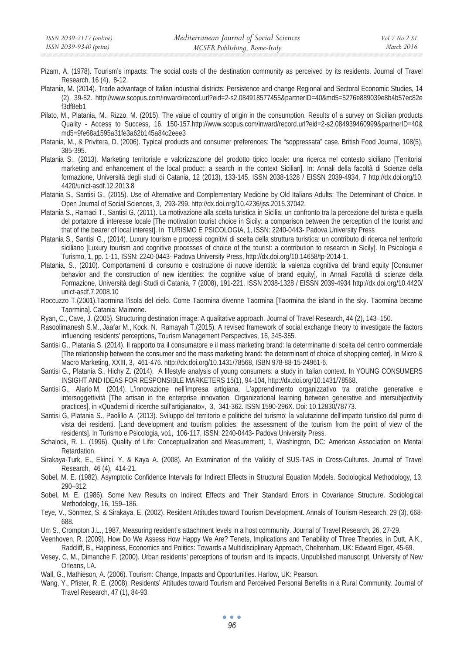- Pizam, A. (1978). Tourism's impacts: The social costs of the destination community as perceived by its residents. Journal of Travel Research, 16 (4), 8-12.
- Platania, M. (2014). Trade advantage of Italian industrial districts: Persistence and change Regional and Sectoral Economic Studies, 14 (2), 39-52. http://www.scopus.com/inward/record.url?eid=2-s2.084918577455&partnerID=40&md5=5276e889039e8b4b57ec82e f3df8eb1
- Pilato, M., Platania, M., Rizzo, M. (2015). The value of country of origin in the consumption. Results of a survey on Sicilian products Quality - Access to Success, 16, 150-157.http://www.scopus.com/inward/record.url?eid=2-s2.084939460999&partnerID=40& md5=9fe68a1595a31fe3a62b145a84c2eee3
- Platania, M., & Privitera, D. (2006). Typical products and consumer preferences: The "soppressata" case. British Food Journal, 108(5), 385-395.
- Platania S., (2013). Marketing territoriale e valorizzazione del prodotto tipico locale: una ricerca nel contesto siciliano [Territorial marketing and enhancement of the local product: a search in the context Sicilian]. In: Annali della facoltà di Scienze della formazione, Università degli studi di Catania, 12 (2013), 133-145, ISSN 2038-1328 / EISSN 2039-4934, 7 http://dx.doi.org/10. 4420/unict-asdf.12.2013.8
- Platania S., Santisi G., (2015). Use of Alternative and Complementary Medicine by Old Italians Adults: The Determinant of Choice. In Open Journal of Social Sciences, 3, 293-299. http://dx.doi.org/10.4236/jss.2015.37042.
- Platania S., Ramaci T., Santisi G. (2011). La motivazione alla scelta turistica in Sicilia: un confronto tra la percezione del turista e quella del portatore di interesse locale [The motivation tourist choice in Sicily: a comparison between the perception of the tourist and that of the bearer of local interest]. In TURISMO E PSICOLOGIA, 1, ISSN: 2240-0443- Padova University Press
- Platania S., Santisi G., (2014). Luxury tourism e processi cognitivi di scelta della struttura turistica: un contributo di ricerca nel territorio siciliano [Luxury tourism and cognitive processes of choice of the tourist: a contribution to research in Sicily]. In Psicologia e Turismo, 1, pp. 1-11, ISSN: 2240-0443- Padova University Press, http://dx.doi.org/10.14658/tp-2014-1.
- Platania, S., (2010). Comportamenti di consumo e costruzione di nuove identità: la valenza cognitiva del brand equity [Consumer behavior and the construction of new identities: the cognitive value of brand equity], in Annali Facoltà di scienze della Formazione, Università degli Studi di Catania, 7 (2008), 191-221. ISSN 2038-1328 / EISSN 2039-4934 http://dx.doi.org/10.4420/ unict-asdf.7.2008.10
- Roccuzzo T.(2001).Taormina l'isola del cielo. Come Taormina divenne Taormina [Taormina the island in the sky. Taormina became Taormina]. Catania: Maimone.
- Ryan, C., Cave, J. (2005). Structuring destination image: A qualitative approach. Journal of Travel Research, 44 (2), 143–150.
- Rasoolimanesh S.M., Jaafar M., Kock, N. Ramayah T.(2015). A revised framework of social exchange theory to investigate the factors influencing residents' perceptions, Tourism Management Perspectives, 16, 345-355.
- Santisi G., Platania S. (2014). Il rapporto tra il consumatore e il mass marketing brand: la determinante di scelta del centro commerciale [The relationship between the consumer and the mass marketing brand: the determinant of choice of shopping center]. In Micro & Macro Marketing, XXIII, 3, 461-476. http://dx.doi.org/10.1431/78568, ISBN 978-88-15-24961-6.
- Santisi G., Platania S., Hichy Z. (2014). A lifestyle analysis of young consumers: a study in Italian context. In YOUNG CONSUMERS INSIGHT AND IDEAS FOR RESPONSIBLE MARKETERS 15(1), 94-104, http://dx.doi.org/10.1431/78568.
- Santisi G., Alario M. (2014). L'innovazione nell'impresa artigiana. L'apprendimento organizzativo tra pratiche generative e intersoggettività [The artisan in the enterprise innovation. Organizational learning between generative and intersubjectivity practices], in «Quaderni di ricerche sull'artigianato», 3, 341-362. ISSN 1590-296X. Doi: 10.12830/78773.
- Santisi G, Platania S., Paolillo A. (2013). Sviluppo del territorio e politiche del turismo: la valutazione dell'impatto turistico dal punto di vista dei residenti. [Land development and tourism policies: the assessment of the tourism from the point of view of the residents]. In Turismo e Psicologia, vo1, 106-117, ISSN: 2240-0443- Padova University Press.
- Schalock, R. L. (1996). Quality of Life: Conceptualization and Measurement, 1, Washington, DC: American Association on Mental Retardation.
- Sirakaya-Turk, E., Ekinci, Y. & Kaya A. (2008). An Examination of the Validity of SUS-TAS in Cross-Cultures. Journal of Travel Research, 46 (4), 414-21.
- Sobel, M. E. (1982). Asymptotic Confidence Intervals for Indirect Effects in Structural Equation Models. Sociological Methodology, 13, 290–312.
- Sobel, M. E. (1986). Some New Results on Indirect Effects and Their Standard Errors in Covariance Structure. Sociological Methodology, 16, 159–186.
- Teye, V., Sönmez, S. & Sirakaya, E. (2002). Resident Attitudes toward Tourism Development. Annals of Tourism Research, 29 (3), 668- 688.
- Um S., Crompton J.L., 1987, Measuring resident's attachment levels in a host community. Journal of Travel Research, 26, 27-29.
- Veenhoven, R. (2009). How Do We Assess How Happy We Are? Tenets, Implications and Tenability of Three Theories, in Dutt, A.K., Radcliff, B., Happiness, Economics and Politics: Towards a Multidisciplinary Approach, Cheltenham, UK: Edward Elger, 45-69.
- Vesey, C, M., Dimanche F. (2000). Urban residents' perceptions of tourism and its impacts, Unpublished manuscript, University of New Orleans, LA.
- Wall, G., Mathieson, A. (2006). Tourism: Change, Impacts and Opportunities. Harlow, UK: Pearson.
- Wang, Y., Pfister, R. E. (2008). Residents' Attitudes toward Tourism and Perceived Personal Benefits in a Rural Community. Journal of Travel Research, 47 (1), 84-93.